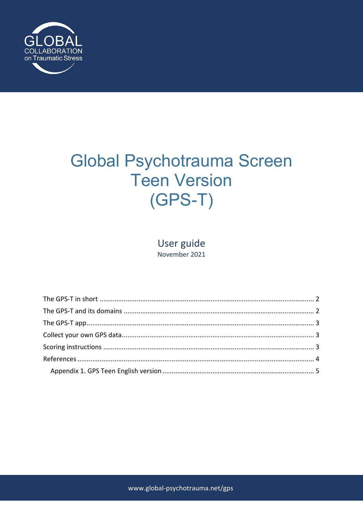

# **Global Psychotrauma Screen Teen Version**  $(GPS-T)$

User guide November 2021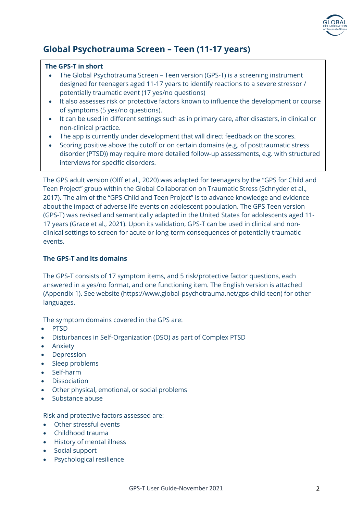

# **Global Psychotrauma Screen – Teen (11-17 years)**

#### **The GPS-T in short**

- The Global Psychotrauma Screen Teen version (GPS-T) is a screening instrument designed for teenagers aged 11-17 years to identify reactions to a severe stressor / potentially traumatic event (17 yes/no questions)
- It also assesses risk or protective factors known to influence the development or course of symptoms (5 yes/no questions).
- It can be used in different settings such as in primary care, after disasters, in clinical or non-clinical practice.
- The app is currently under development that will direct feedback on the scores.
- Scoring positive above the cutoff or on certain domains (e.g. of posttraumatic stress disorder (PTSD)) may require more detailed follow-up assessments, e.g. with structured interviews for specific disorders.

The GPS adult version (Olff et al., 2020) was adapted for teenagers by the "GPS for Child and Teen Project" group within the Global Collaboration on Traumatic Stress (Schnyder et al., 2017). The aim of the "GPS Child and Teen Project" is to advance knowledge and evidence about the impact of adverse life events on adolescent population. The GPS Teen version (GPS-T) was revised and semantically adapted in the United States for adolescents aged 11- 17 years (Grace et al., 2021). Upon its validation, GPS-T can be used in clinical and nonclinical settings to screen for acute or long-term consequences of potentially traumatic events.

### **The GPS-T and its domains**

The GPS-T consists of 17 symptom items, and 5 risk/protective factor questions, each answered in a yes/no format, and one functioning item. The English version is attached (Appendix 1). See website (https://www.global-psychotrauma.net/gps-child-teen) for other languages.

The symptom domains covered in the GPS are:

- PTSD
- Disturbances in Self-Organization (DSO) as part of Complex PTSD
- Anxiety
- **Depression**
- Sleep problems
- Self-harm
- **Dissociation**
- Other physical, emotional, or social problems
- Substance abuse

Risk and protective factors assessed are:

- Other stressful events
- Childhood trauma
- History of mental illness
- Social support
- Psychological resilience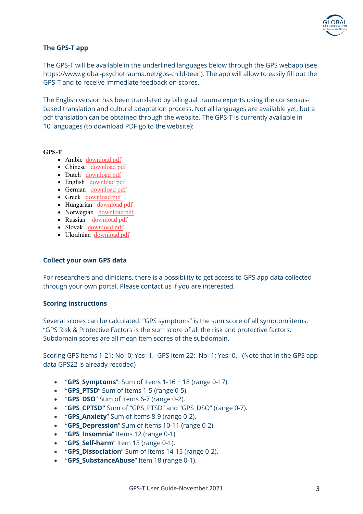

#### **The GPS-T app**

The GPS-T will be available in the underlined languages below through the GPS webapp (see https://www.global-psychotrauma.net/gps-child-teen). The app will allow to easily fill out the GPS-T and to receive immediate feedback on scores.

The English version has been translated by bilingual trauma experts using the consensusbased translation and cultural adaptation process. Not all languages are available yet, but a pdf translation can be obtained through the website. The GPS-T is currently available in 10 languages (to download PDF go to the website):

#### **GPS-T**

- Arabic download pdf
- Chinese download pdf
- Dutch download pdf
- English download pdf
- German download pdf
- Greek download pdf
- Hungarian download pdf
- Norwegian download pdf
- Russian download pdf
- Slovak download pdf • Ukrainian download pdf
- 

#### **Collect your own GPS data**

For researchers and clinicians, there is a possibility to get access to GPS app data collected through your own portal. Please contact us if you are interested.

#### **Scoring instructions**

Several scores can be calculated. "GPS symptoms" is the sum score of all symptom items. "GPS Risk & Protective Factors is the sum score of all the risk and protective factors. Subdomain scores are all mean item scores of the subdomain.

Scoring GPS items 1-21: No=0; Yes=1. GPS Item 22: No=1; Yes=0. (Note that in the GPS app data GPS22 is already recoded)

- "**GPS\_Symptoms**": Sum of items 1-16 + 18 (range 0-17).
- "**GPS\_PTSD**" Sum of items 1-5 (range 0-5).
- "**GPS\_DSO**" Sum of items 6-7 (range 0-2).
- "**GPS\_CPTSD"** Sum of "GPS\_PTSD" and "GPS\_DSO" (range 0-7).
- "**GPS\_Anxiety**" Sum of items 8-9 (range 0-2).
- "**GPS\_Depression**" Sum of items 10-11 (range 0-2).
- "**GPS\_Insomnia**" Items 12 (range 0-1).
- "**GPS\_Self-harm**" Item 13 (range 0-1).
- "**GPS\_Dissociation**" Sum of items 14-15 (range 0-2).
- "**GPS\_SubstanceAbuse**" Item 18 (range 0-1).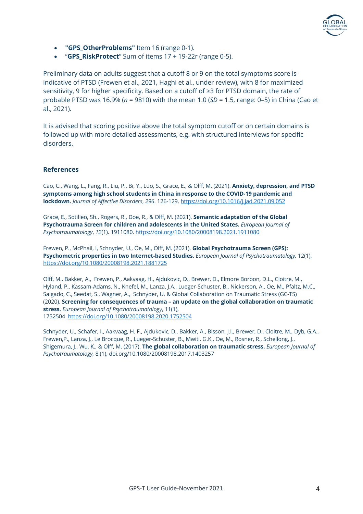

- **"GPS\_OtherProblems"** Item 16 (range 0-1).
- "**GPS\_RiskProtect**" Sum of items 17 + 19-22r (range 0-5).

Preliminary data on adults suggest that a cutoff 8 or 9 on the total symptoms score is indicative of PTSD (Frewen et al., 2021, Haghi et al., under review), with 8 for maximized sensitivity, 9 for higher specificity. Based on a cutoff of ≥3 for PTSD domain, the rate of probable PTSD was 16.9% (*n* = 9810) with the mean 1.0 (*SD* = 1.5, range: 0–5) in China (Cao et al., 2021).

It is advised that scoring positive above the total symptom cutoff or on certain domains is followed up with more detailed assessments, e.g. with structured interviews for specific disorders.

#### **References**

Cao, C., Wang, L., Fang, R., Liu, P., Bi, Y., Luo, S., Grace, E., & Olff, M. (2021). **Anxiety, depression, and PTSD symptoms among high school students in China in response to the COVID-19 pandemic and lockdown.** *Journal of Affective Disorders*, *296*. 126-129. https://doi.org/10.1016/j.jad.2021.09.052

Grace, E., Sotilleo, Sh., Rogers, R., Doe, R., & Olff, M. (2021). **Semantic adaptation of the Global Psychotrauma Screen for children and adolescents in the United States.** *European Journal of Psychotraumatology*, *12*(1). 1911080. https://doi.org/10.1080/20008198.2021.1911080

Frewen, P., McPhail, I, Schnyder, U., Oe, M., Olff, M. (2021). **Global Psychotrauma Screen (GPS): Psychometric properties in two Internet-based Studies**. *European Journal of Psychotraumatology,* 12(1), https://doi.org/10.1080/20008198.2021.1881725

Olff, M., Bakker, A., Frewen, P., Aakvaag, H., Ajdukovic, D., Brewer, D., Elmore Borbon, D.L., Cloitre, M., Hyland, P., Kassam-Adams, N., Knefel, M., Lanza, J.A., Lueger-Schuster, B., Nickerson, A., Oe, M., Pfaltz, M.C., Salgado, C., Seedat, S., Wagner, A., Schnyder, U. & Global Collaboration on Traumatic Stress (GC-TS) (2020). **Screening for consequences of trauma – an update on the global collaboration on traumatic stress.** *European Journal of Psychotraumatology*, 11(1), 1752504 https://doi.org/10.1080/20008198.2020.1752504

Schnyder, U., Schafer, I., Aakvaag, H. F., Ajdukovic, D., Bakker, A., Bisson, J.I., Brewer, D., Cloitre, M., Dyb, G.A., Frewen,P., Lanza, J., Le Brocque, R., Lueger-Schuster, B., Mwiti, G.K., Oe, M., Rosner, R., Schellong, J., Shigemura, J., Wu, K., & Olff, M. (2017). **The global collaboration on traumatic stress.** *European Journal of Psychotraumatology,* 8,(1), doi.org/10.1080/20008198.2017.1403257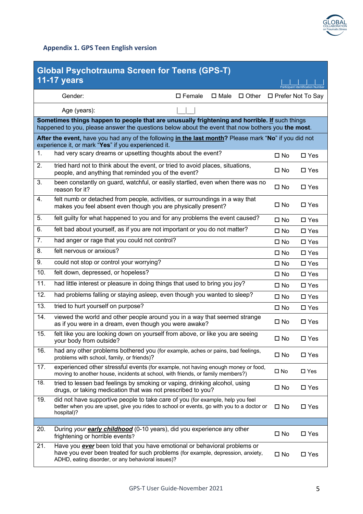

## **Appendix 1. GPS Teen English version**

| <b>Global Psychotrauma Screen for Teens (GPS-T)</b>                                                                                                                                                        |                                                                                                                                                                                                                          |                |               |                     |                                  |  |  |  |  |  |  |
|------------------------------------------------------------------------------------------------------------------------------------------------------------------------------------------------------------|--------------------------------------------------------------------------------------------------------------------------------------------------------------------------------------------------------------------------|----------------|---------------|---------------------|----------------------------------|--|--|--|--|--|--|
|                                                                                                                                                                                                            | <b>11-17 years</b>                                                                                                                                                                                                       |                |               |                     | Particinant Identification Numbe |  |  |  |  |  |  |
|                                                                                                                                                                                                            | Gender:<br>$\square$ Female                                                                                                                                                                                              | $\square$ Male | $\Box$ Other  | □ Prefer Not To Say |                                  |  |  |  |  |  |  |
|                                                                                                                                                                                                            | Age (years):                                                                                                                                                                                                             |                |               |                     |                                  |  |  |  |  |  |  |
|                                                                                                                                                                                                            | Sometimes things happen to people that are unusually frightening and horrible. If such things                                                                                                                            |                |               |                     |                                  |  |  |  |  |  |  |
| happened to you, please answer the questions below about the event that now bothers you the most.<br>After the event, have you had any of the following in the last month? Please mark "No" if you did not |                                                                                                                                                                                                                          |                |               |                     |                                  |  |  |  |  |  |  |
| experience it, or mark "Yes" if you experienced it.                                                                                                                                                        |                                                                                                                                                                                                                          |                |               |                     |                                  |  |  |  |  |  |  |
| 1.                                                                                                                                                                                                         | had very scary dreams or upsetting thoughts about the event?                                                                                                                                                             |                |               | $\square$ No        | $\square$ Yes                    |  |  |  |  |  |  |
| 2.                                                                                                                                                                                                         | tried hard not to think about the event, or tried to avoid places, situations,<br>people, and anything that reminded you of the event?                                                                                   |                |               | $\square$ No        | $\square$ Yes                    |  |  |  |  |  |  |
| 3.                                                                                                                                                                                                         | been constantly on guard, watchful, or easily startled, even when there was no<br>reason for it?                                                                                                                         | $\square$ No   | $\square$ Yes |                     |                                  |  |  |  |  |  |  |
| 4.                                                                                                                                                                                                         | felt numb or detached from people, activities, or surroundings in a way that<br>makes you feel absent even though you are physically present?                                                                            |                |               | $\square$ No        | $\square$ Yes                    |  |  |  |  |  |  |
| 5.                                                                                                                                                                                                         | felt guilty for what happened to you and for any problems the event caused?                                                                                                                                              |                |               | $\square$ No        | $\square$ Yes                    |  |  |  |  |  |  |
| 6.                                                                                                                                                                                                         | felt bad about yourself, as if you are not important or you do not matter?                                                                                                                                               |                |               | $\square$ No        | $\square$ Yes                    |  |  |  |  |  |  |
| 7.                                                                                                                                                                                                         | had anger or rage that you could not control?                                                                                                                                                                            |                |               | $\square$ No        | $\square$ Yes                    |  |  |  |  |  |  |
| 8.                                                                                                                                                                                                         | felt nervous or anxious?                                                                                                                                                                                                 |                |               | $\square$ No        | $\square$ Yes                    |  |  |  |  |  |  |
| 9.                                                                                                                                                                                                         | could not stop or control your worrying?                                                                                                                                                                                 |                |               | $\square$ No        | $\square$ Yes                    |  |  |  |  |  |  |
| 10.                                                                                                                                                                                                        | felt down, depressed, or hopeless?                                                                                                                                                                                       |                |               | $\square$ No        | $\square$ Yes                    |  |  |  |  |  |  |
| 11.                                                                                                                                                                                                        | had little interest or pleasure in doing things that used to bring you joy?                                                                                                                                              |                |               | $\square$ No        | $\square$ Yes                    |  |  |  |  |  |  |
| 12.                                                                                                                                                                                                        | had problems falling or staying asleep, even though you wanted to sleep?                                                                                                                                                 |                |               | $\square$ No        | $\square$ Yes                    |  |  |  |  |  |  |
| 13.                                                                                                                                                                                                        | tried to hurt yourself on purpose?                                                                                                                                                                                       |                |               | $\square$ No        | $\square$ Yes                    |  |  |  |  |  |  |
| 14.                                                                                                                                                                                                        | viewed the world and other people around you in a way that seemed strange<br>as if you were in a dream, even though you were awake?                                                                                      |                |               | $\square$ No        | $\square$ Yes                    |  |  |  |  |  |  |
| 15.                                                                                                                                                                                                        | felt like you are looking down on yourself from above, or like you are seeing<br>your body from outside?                                                                                                                 |                |               | $\square$ No        | $\square$ Yes                    |  |  |  |  |  |  |
| 16.                                                                                                                                                                                                        | had any other problems bothered you (for example, aches or pains, bad feelings,<br>problems with school, family, or friends)?                                                                                            |                |               | $\square$ No        | $\square$ Yes                    |  |  |  |  |  |  |
| 17.                                                                                                                                                                                                        | experienced other stressful events (for example, not having enough money or food,<br>moving to another house, incidents at school, with friends, or family members?)                                                     |                |               | $\square$ No        | $\square$ Yes                    |  |  |  |  |  |  |
| 18.                                                                                                                                                                                                        | tried to lessen bad feelings by smoking or vaping, drinking alcohol, using<br>drugs, or taking medication that was not prescribed to you?                                                                                | $\square$ No   | $\square$ Yes |                     |                                  |  |  |  |  |  |  |
| 19.                                                                                                                                                                                                        | did not have supportive people to take care of you (for example, help you feel<br>better when you are upset, give you rides to school or events, go with you to a doctor or<br>hospital)?                                | $\square$ No   | $\square$ Yes |                     |                                  |  |  |  |  |  |  |
| 20.                                                                                                                                                                                                        |                                                                                                                                                                                                                          |                |               |                     |                                  |  |  |  |  |  |  |
|                                                                                                                                                                                                            | During your <b>early childhood</b> (0-10 years), did you experience any other<br>frightening or horrible events?                                                                                                         |                |               | $\square$ No        | $\square$ Yes                    |  |  |  |  |  |  |
| 21.                                                                                                                                                                                                        | Have you <b>ever</b> been told that you have emotional or behavioral problems or<br>have you ever been treated for such problems (for example, depression, anxiety,<br>ADHD, eating disorder, or any behavioral issues)? |                |               | $\Box$ No           | $\square$ Yes                    |  |  |  |  |  |  |